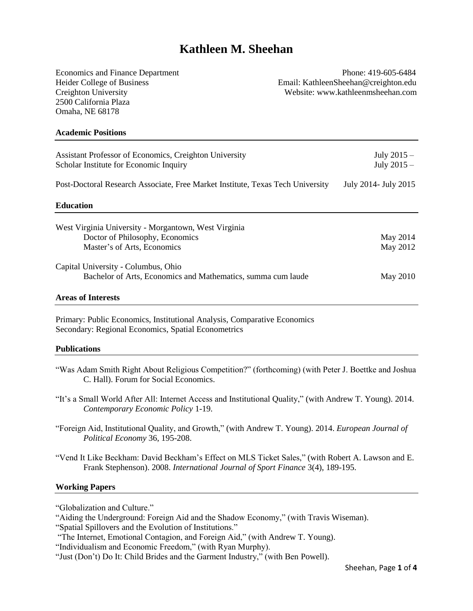# **Kathleen M. Sheehan**

2500 California Plaza Omaha, NE 68178

Economics and Finance Department Phone: 419-605-6484 Heider College of Business Email: KathleenSheehan@creighton.edu Creighton University Website: www.kathleenmsheehan.com

#### **Academic Positions**

| Assistant Professor of Economics, Creighton University<br>Scholar Institute for Economic Inquiry | July $2015 -$<br>July $2015 -$ |
|--------------------------------------------------------------------------------------------------|--------------------------------|
| Post-Doctoral Research Associate, Free Market Institute, Texas Tech University                   | July 2014 - July 2015          |
| <b>Education</b>                                                                                 |                                |
| West Virginia University - Morgantown, West Virginia                                             |                                |
| Doctor of Philosophy, Economics                                                                  | May 2014                       |
| Master's of Arts, Economics                                                                      | May 2012                       |
| Capital University - Columbus, Ohio                                                              |                                |
| Bachelor of Arts, Economics and Mathematics, summa cum laude                                     | May 2010                       |
|                                                                                                  |                                |

#### **Areas of Interests**

Primary: Public Economics, Institutional Analysis, Comparative Economics Secondary: Regional Economics, Spatial Econometrics

#### **Publications**

- "Was Adam Smith Right About Religious Competition?" (forthcoming) (with Peter J. Boettke and Joshua C. Hall). Forum for Social Economics.
- "It's a Small World After All: Internet Access and Institutional Quality," (with Andrew T. Young). 2014. *Contemporary Economic Policy* 1-19.
- "Foreign Aid, Institutional Quality, and Growth," (with Andrew T. Young). 2014. *European Journal of Political Economy* 36, 195-208.
- "Vend It Like Beckham: David Beckham's Effect on MLS Ticket Sales," (with Robert A. Lawson and E. Frank Stephenson). 2008. *International Journal of Sport Finance* 3(4), 189-195.

#### **Working Papers**

"Globalization and Culture."

<sup>&</sup>quot;Aiding the Underground: Foreign Aid and the Shadow Economy," (with Travis Wiseman).

<sup>&</sup>quot;Spatial Spillovers and the Evolution of Institutions."

<sup>&</sup>quot;The Internet, Emotional Contagion, and Foreign Aid," (with Andrew T. Young).

<sup>&</sup>quot;Individualism and Economic Freedom," (with Ryan Murphy).

<sup>&</sup>quot;Just (Don't) Do It: Child Brides and the Garment Industry," (with Ben Powell).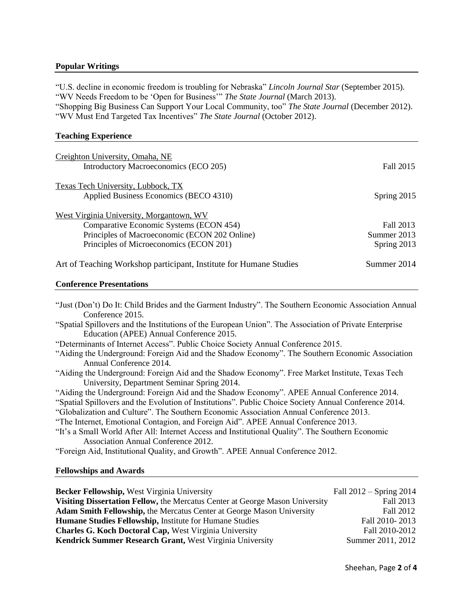# **Popular Writings**

"U.S. decline in economic freedom is troubling for Nebraska" *Lincoln Journal Star* (September 2015). "WV Needs Freedom to be 'Open for Business'" *The State Journal* (March 2013). "Shopping Big Business Can Support Your Local Community, too" *The State Journal* (December 2012). "WV Must End Targeted Tax Incentives" *The State Journal* (October 2012).

# **Teaching Experience**

| Creighton University, Omaha, NE                                    |               |
|--------------------------------------------------------------------|---------------|
| Introductory Macroeconomics (ECO 205)                              | Fall 2015     |
| Texas Tech University, Lubbock, TX                                 |               |
| Applied Business Economics (BECO 4310)                             | Spring $2015$ |
| West Virginia University, Morgantown, WV                           |               |
| Comparative Economic Systems (ECON 454)                            | Fall 2013     |
| Principles of Macroeconomic (ECON 202 Online)                      | Summer 2013   |
| Principles of Microeconomics (ECON 201)                            | Spring 2013   |
| Art of Teaching Workshop participant, Institute for Humane Studies | Summer 2014   |

#### **Conference Presentations**

| "Just (Don't) Do It: Child Brides and the Garment Industry". The Southern Economic Association Annual  |
|--------------------------------------------------------------------------------------------------------|
| Conference 2015.                                                                                       |
| "Spatial Spillovers and the Institutions of the European Union". The Association of Private Enterprise |
| Education (APEE) Annual Conference 2015.                                                               |
| "Determinants of Internet Access". Public Choice Society Annual Conference 2015.                       |
| "Aiding the Underground: Foreign Aid and the Shadow Economy". The Southern Economic Association        |
| Annual Conference 2014.                                                                                |
| "Aiding the Underground: Foreign Aid and the Shadow Economy". Free Market Institute, Texas Tech        |
| University, Department Seminar Spring 2014.                                                            |
| "Aiding the Underground: Foreign Aid and the Shadow Economy". APEE Annual Conference 2014.             |
| "Spatial Spillovers and the Evolution of Institutions". Public Choice Society Annual Conference 2014.  |
| "Globalization and Culture". The Southern Economic Association Annual Conference 2013.                 |
| "The Internet, Emotional Contagion, and Foreign Aid". APEE Annual Conference 2013.                     |
| "It's a Small World After All: Internet Access and Institutional Quality". The Southern Economic       |
| Association Annual Conference 2012.                                                                    |
| "Foreign Aid, Institutional Quality, and Growth". APEE Annual Conference 2012.                         |
|                                                                                                        |

# **Fellowships and Awards**

| <b>Becker Fellowship, West Virginia University</b>                           | Fall $2012 -$ Spring $2014$ |
|------------------------------------------------------------------------------|-----------------------------|
| Visiting Dissertation Fellow, the Mercatus Center at George Mason University | Fall 2013                   |
| <b>Adam Smith Fellowship, the Mercatus Center at George Mason University</b> | Fall 2012                   |
| Humane Studies Fellowship, Institute for Humane Studies                      | Fall 2010-2013              |
| <b>Charles G. Koch Doctoral Cap, West Virginia University</b>                | Fall 2010-2012              |
| Kendrick Summer Research Grant, West Virginia University                     | Summer 2011, 2012           |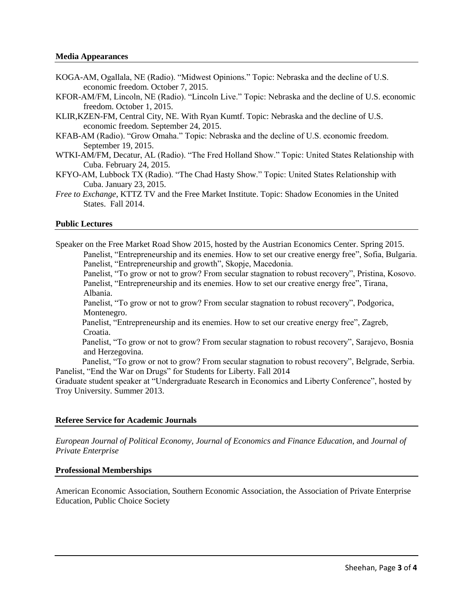- KOGA-AM, Ogallala, NE (Radio). "Midwest Opinions." Topic: Nebraska and the decline of U.S. economic freedom. October 7, 2015.
- KFOR-AM/FM, Lincoln, NE (Radio). "Lincoln Live." Topic: Nebraska and the decline of U.S. economic freedom. October 1, 2015.
- KLIR,KZEN-FM, Central City, NE. With Ryan Kumtf. Topic: Nebraska and the decline of U.S. economic freedom. September 24, 2015.
- KFAB-AM (Radio). "Grow Omaha." Topic: Nebraska and the decline of U.S. economic freedom. September 19, 2015.
- WTKI-AM/FM, Decatur, AL (Radio). "The Fred Holland Show." Topic: United States Relationship with Cuba. February 24, 2015.
- KFYO-AM, Lubbock TX (Radio). "The Chad Hasty Show." Topic: United States Relationship with Cuba. January 23, 2015.
- *Free to Exchange*, KTTZ TV and the Free Market Institute. Topic: Shadow Economies in the United States. Fall 2014.

## **Public Lectures**

Speaker on the Free Market Road Show 2015, hosted by the Austrian Economics Center. Spring 2015. Panelist, "Entrepreneurship and its enemies. How to set our creative energy free", Sofia, Bulgaria. Panelist, "Entrepreneurship and growth", Skopje, Macedonia.

Panelist, "To grow or not to grow? From secular stagnation to robust recovery", Pristina, Kosovo. Panelist, "Entrepreneurship and its enemies. How to set our creative energy free", Tirana, Albania.

Panelist, "To grow or not to grow? From secular stagnation to robust recovery", Podgorica, Montenegro.

Panelist, "Entrepreneurship and its enemies. How to set our creative energy free", Zagreb, Croatia.

Panelist, "To grow or not to grow? From secular stagnation to robust recovery", Sarajevo, Bosnia and Herzegovina.

Panelist, "To grow or not to grow? From secular stagnation to robust recovery", Belgrade, Serbia. Panelist, "End the War on Drugs" for Students for Liberty. Fall 2014

Graduate student speaker at "Undergraduate Research in Economics and Liberty Conference", hosted by Troy University. Summer 2013.

#### **Referee Service for Academic Journals**

*European Journal of Political Economy, Journal of Economics and Finance Education*, and *Journal of Private Enterprise*

#### **Professional Memberships**

American Economic Association, Southern Economic Association, the Association of Private Enterprise Education, Public Choice Society